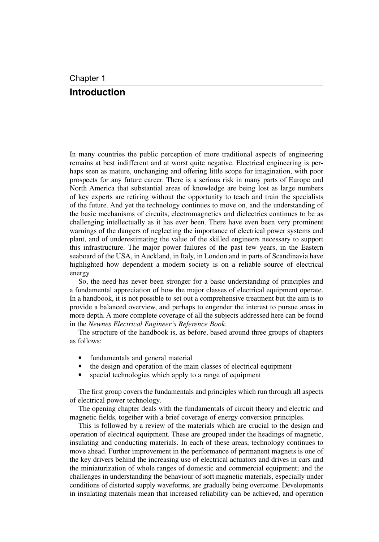## **Introduction**

In many countries the public perception of more traditional aspects of engineering remains at best indifferent and at worst quite negative. Electrical engineering is perhaps seen as mature, unchanging and offering little scope for imagination, with poor prospects for any future career. There is a serious risk in many parts of Europe and North America that substantial areas of knowledge are being lost as large numbers of key experts are retiring without the opportunity to teach and train the specialists of the future. And yet the technology continues to move on, and the understanding of the basic mechanisms of circuits, electromagnetics and dielectrics continues to be as challenging intellectually as it has ever been. There have even been very prominent warnings of the dangers of neglecting the importance of electrical power systems and plant, and of underestimating the value of the skilled engineers necessary to support this infrastructure. The major power failures of the past few years, in the Eastern seaboard of the USA, in Auckland, in Italy, in London and in parts of Scandinavia have highlighted how dependent a modern society is on a reliable source of electrical energy.

So, the need has never been stronger for a basic understanding of principles and a fundamental appreciation of how the major classes of electrical equipment operate. In a handbook, it is not possible to set out a comprehensive treatment but the aim is to provide a balanced overview, and perhaps to engender the interest to pursue areas in more depth. A more complete coverage of all the subjects addressed here can be found in the *Newnes Electrical Engineer's Reference Book*.

The structure of the handbook is, as before, based around three groups of chapters as follows:

- fundamentals and general material
- the design and operation of the main classes of electrical equipment
- special technologies which apply to a range of equipment

The first group covers the fundamentals and principles which run through all aspects of electrical power technology.

The opening chapter deals with the fundamentals of circuit theory and electric and magnetic fields, together with a brief coverage of energy conversion principles.

This is followed by a review of the materials which are crucial to the design and operation of electrical equipment. These are grouped under the headings of magnetic, insulating and conducting materials. In each of these areas, technology continues to move ahead. Further improvement in the performance of permanent magnets is one of the key drivers behind the increasing use of electrical actuators and drives in cars and the miniaturization of whole ranges of domestic and commercial equipment; and the challenges in understanding the behaviour of soft magnetic materials, especially under conditions of distorted supply waveforms, are gradually being overcome. Developments in insulating materials mean that increased reliability can be achieved, and operation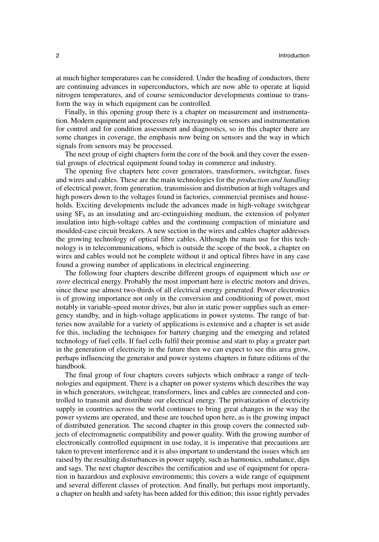at much higher temperatures can be considered. Under the heading of conductors, there are continuing advances in superconductors, which are now able to operate at liquid nitrogen temperatures, and of course semiconductor developments continue to transform the way in which equipment can be controlled.

Finally, in this opening group there is a chapter on measurement and instrumentation. Modern equipment and processes rely increasingly on sensors and instrumentation for control and for condition assessment and diagnostics, so in this chapter there are some changes in coverage, the emphasis now being on sensors and the way in which signals from sensors may be processed.

The next group of eight chapters form the core of the book and they cover the essential groups of electrical equipment found today in commerce and industry.

The opening five chapters here cover generators, transformers, switchgear, fuses and wires and cables. These are the main technologies for the *production and handling* of electrical power, from generation, transmission and distribution at high voltages and high powers down to the voltages found in factories, commercial premises and households. Exciting developments include the advances made in high-voltage switchgear using  $SF<sub>6</sub>$  as an insulating and arc-extinguishing medium, the extension of polymer insulation into high-voltage cables and the continuing compaction of miniature and moulded-case circuit breakers. A new section in the wires and cables chapter addresses the growing technology of optical fibre cables. Although the main use for this technology is in telecommunications, which is outside the scope of the book, a chapter on wires and cables would not be complete without it and optical fibres have in any case found a growing number of applications in electrical engineering.

The following four chapters describe different groups of equipment which *use or store* electrical energy. Probably the most important here is electric motors and drives, since these use almost two-thirds of all electrical energy generated. Power electronics is of growing importance not only in the conversion and conditioning of power, most notably in variable-speed motor drives, but also in static power supplies such as emergency standby, and in high-voltage applications in power systems. The range of batteries now available for a variety of applications is extensive and a chapter is set aside for this, including the techniques for battery charging and the emerging and related technology of fuel cells. If fuel cells fulfil their promise and start to play a greater part in the generation of electricity in the future then we can expect to see this area grow, perhaps influencing the generator and power systems chapters in future editions of the handbook.

The final group of four chapters covers subjects which embrace a range of technologies and equipment. There is a chapter on power systems which describes the way in which generators, switchgear, transformers, lines and cables are connected and controlled to transmit and distribute our electrical energy. The privatization of electricity supply in countries across the world continues to bring great changes in the way the power systems are operated, and these are touched upon here, as is the growing impact of distributed generation. The second chapter in this group covers the connected subjects of electromagnetic compatibility and power quality. With the growing number of electronically controlled equipment in use today, it is imperative that precautions are taken to prevent interference and it is also important to understand the issues which are raised by the resulting disturbances in power supply, such as harmonics, unbalance, dips and sags. The next chapter describes the certification and use of equipment for operation in hazardous and explosive environments; this covers a wide range of equipment and several different classes of protection. And finally, but perhaps most importantly, a chapter on health and safety has been added for this edition; this issue rightly pervades